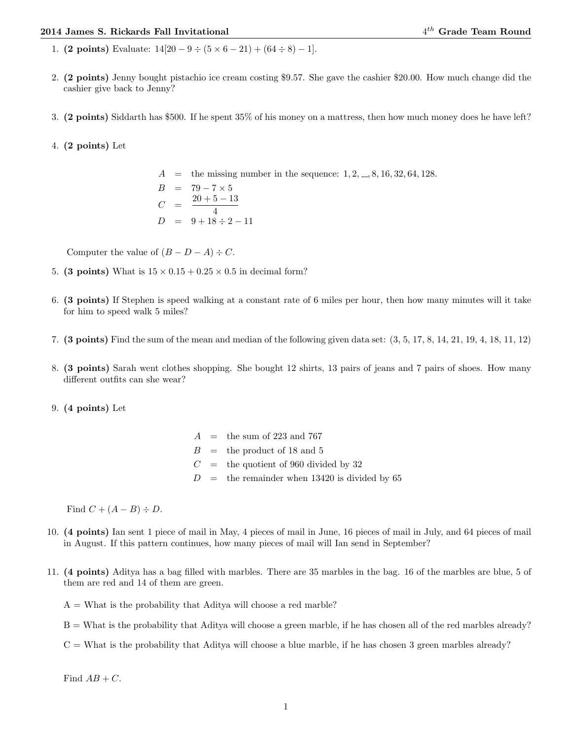## 2014 James S. Rickards Fall Invitational 4

- 1. (2 points) Evaluate:  $14[20 9 \div (5 \times 6 21) + (64 \div 8) 1]$ .
- 2. (2 points) Jenny bought pistachio ice cream costing \$9.57. She gave the cashier \$20.00. How much change did the cashier give back to Jenny?
- 3. (2 points) Siddarth has \$500. If he spent 35% of his money on a mattress, then how much money does he have left?

## 4. (2 points) Let

 $A =$  the missing number in the sequence:  $1, 2, ..., 8, 16, 32, 64, 128$ .  $B = 79 - 7 \times 5$  $C = \frac{20 + 5 - 13}{4}$ 4  $D = 9 + 18 \div 2 - 11$ 

Computer the value of  $(B - D - A) \div C$ .

- 5. (3 points) What is  $15 \times 0.15 + 0.25 \times 0.5$  in decimal form?
- 6. (3 points) If Stephen is speed walking at a constant rate of 6 miles per hour, then how many minutes will it take for him to speed walk 5 miles?
- 7. (3 points) Find the sum of the mean and median of the following given data set: (3, 5, 17, 8, 14, 21, 19, 4, 18, 11, 12)
- 8. (3 points) Sarah went clothes shopping. She bought 12 shirts, 13 pairs of jeans and 7 pairs of shoes. How many different outfits can she wear?

## 9. (4 points) Let

 $A =$  the sum of 223 and 767  $B =$  the product of 18 and 5  $C =$  the quotient of 960 divided by 32  $D =$  the remainder when 13420 is divided by 65

Find  $C + (A - B) \div D$ .

- 10. (4 points) Ian sent 1 piece of mail in May, 4 pieces of mail in June, 16 pieces of mail in July, and 64 pieces of mail in August. If this pattern continues, how many pieces of mail will Ian send in September?
- 11. (4 points) Aditya has a bag filled with marbles. There are 35 marbles in the bag. 16 of the marbles are blue, 5 of them are red and 14 of them are green.

 $A =$  What is the probability that Aditya will choose a red marble?

- B = What is the probability that Aditya will choose a green marble, if he has chosen all of the red marbles already?
- $C =$  What is the probability that Aditya will choose a blue marble, if he has chosen 3 green marbles already?

Find  $AB + C$ .